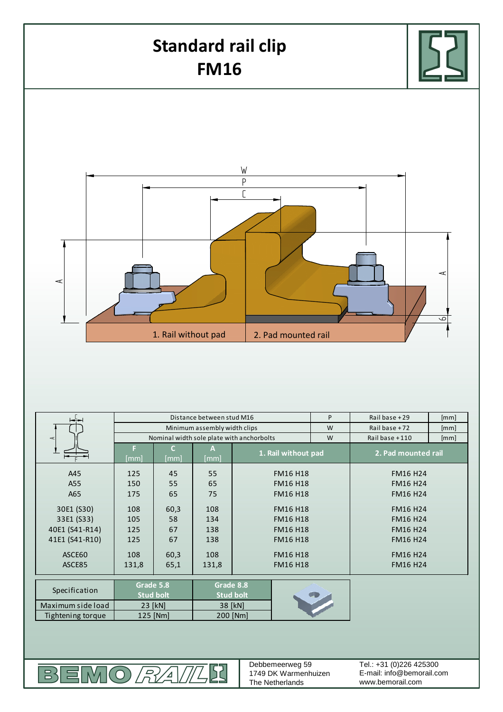

| Specification   | Grade 5.8                   |          | Grade 8.8                   |          | <b>Card</b> |  |
|-----------------|-----------------------------|----------|-----------------------------|----------|-------------|--|
|                 | <b>Stud bolt</b><br>23 [kN] |          | <b>Stud bolt</b><br>38 [kN] |          |             |  |
| ximum side load |                             |          |                             |          |             |  |
| ghtening torque |                             | 125 [Nm] |                             | 200 [Nm] |             |  |
|                 |                             |          |                             |          |             |  |
|                 |                             |          |                             |          |             |  |
|                 |                             |          |                             |          |             |  |

52

ASCE85 | 131,8 | 131,8 | 131,8 | FM16 H18 | FM16 H24

ASCE60 FM16 H18 FM16 H24

131,8 65,1 131,8

MO*RAI* 

Max  $\overline{f}$ 

 $\mathbb{R}$ 

릐

Debbemeerweg 59 1749 DK Warmenhuizen The Netherlands

FM16 H18

E-mail: info@bemorail.com www.bemorail.com Tel.: +31 (0)226 425300